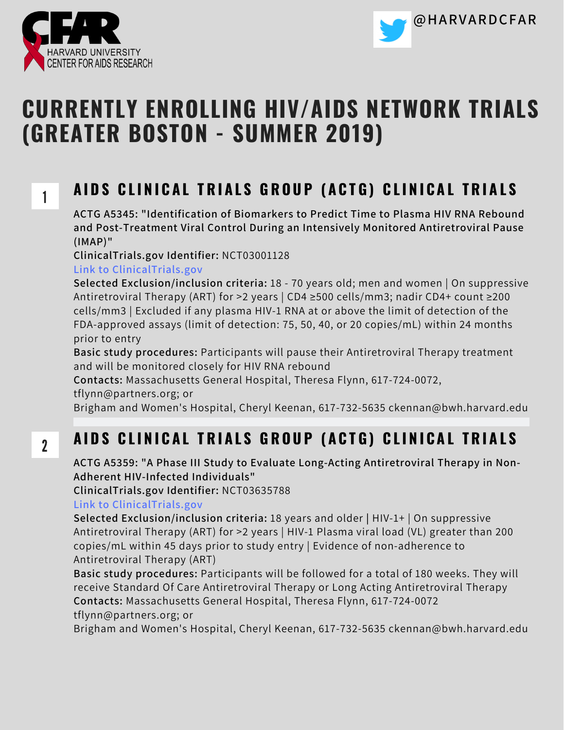

1

2



# **CURRENTLY ENROLLING HIV/AIDS NETWORK TRIALS (GREATER BOSTON - SUMMER 2019)**

### AIDS CLINICAL TRIALS GROUP (ACTG) CLINICAL TRIALS

**ACTG A5345: "Identification of Biomarkers to Predict Time to Plasma HIV RNA Rebound and Post-Treatment Viral Control During an Intensively Monitored Antiretroviral Pause (IMAP)"**

**ClinicalTrials.gov Identifier:** NCT03001128

**Link to ClinicalTrials.gov**

**Selected Exclusion/inclusion criteria:** 18 - 70 years old; men and women | On suppressive Antiretroviral Therapy (ART) for >2 years | CD4 ≥500 cells/mm3; nadir CD4+ count ≥200 cells/mm3 | Excluded if any plasma HIV-1 RNA at or above the limit of detection of the FDA-approved assays (limit of detection: 75, 50, 40, or 20 copies/mL) within 24 months prior to entry

**Basic study procedures:** Participants will pause their Antiretroviral Therapy treatment and will be monitored closely for HIV RNA rebound

**Contacts:** Massachusetts General Hospital, Theresa Flynn, 617-724-0072,

tflynn@partners.org; or

Brigham and Women's Hospital, Cheryl Keenan, 617-732-5635 ckennan@bwh.harvard.edu

### AIDS CLINICAL TRIALS GROUP (ACTG) CLINICAL TRIALS

**ACTG A5359: "A Phase III Study to Evaluate Long-Acting Antiretroviral Therapy in Non-Adherent HIV-Infected Individuals"**

**ClinicalTrials.gov Identifier:** NCT03635788

**Link to ClinicalTrials.gov**

**Selected Exclusion/inclusion criteria:** 18 years and older **|** HIV-1+ | On suppressive Antiretroviral Therapy (ART) for >2 years | HIV-1 Plasma viral load (VL) greater than 200 copies/mL within 45 days prior to study entry | Evidence of non-adherence to Antiretroviral Therapy (ART)

**Basic study procedures:** Participants will be followed for a total of 180 weeks. They will receive Standard Of Care Antiretroviral Therapy or Long Acting Antiretroviral Therapy **Contacts:** Massachusetts General Hospital, Theresa Flynn, 617-724-0072 tflynn@partners.org; or

Brigham and Women's Hospital, Cheryl Keenan, 617-732-5635 ckennan@bwh.harvard.edu